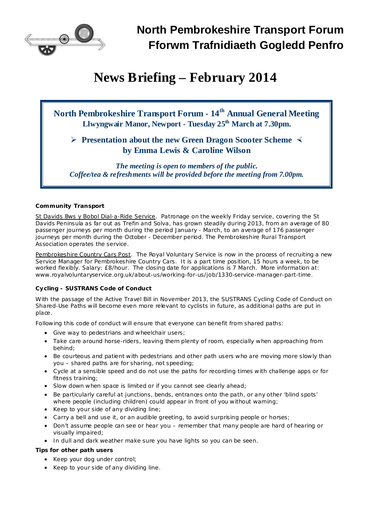

# **News Briefing – February 2014**

# **North Pembrokeshire Transport Forum - 14 th Annual General Meeting Llwyngwair Manor, Newport - Tuesday 25 th March at 7.30pm.**

# **Ø Presentation about the new Green Dragon Scooter Scheme × by Emma Lewis & Caroline Wilson**

*The meeting is open to members of the public. Coffee/tea & refreshments will be provided before the meeting from 7.00pm.*

## *Community Transport*

St Davids Bws y Bobol Dial-a-Ride Service. Patronage on the weekly Friday service, covering the St Davids Peninsula as far out as Trefin and Solva, has grown steadily during 2013, from an average of 80 passenger journeys per month during the period January - March, to an average of 176 passenger journeys per month during the October - December period. The Pembrokeshire Rural Transport Association operates the service.

Pembrokeshire Country Cars Post. The Royal Voluntary Service is now in the process of recruiting a new Service Manager for Pembrokeshire Country Cars. It is a part time position, 15 hours a week, to be worked flexibly. Salary: £8/hour. The closing date for applications is 7 March. More information at: [www.royalvoluntaryservice.org.uk/about-us/working-for-us/job/1330-service-manager-part-time](http://www.royalvoluntaryservice.org.uk/about-us/working-for-us/job/1330-service-manager-part-time).

## *Cycling - SUSTRANS Code of Conduct*

With the passage of the Active Travel Bill in November 2013, the SUSTRANS Cycling Code of Conduct on Shared-Use Paths will become even more relevant to cyclists in future, as additional paths are put in place.

Following this code of conduct will ensure that everyone can benefit from shared paths:

- · Give way to pedestrians and wheelchair users;
- Take care around horse-riders, leaving them plenty of room, especially when approaching from behind;
- Be courteous and patient with pedestrians and other path users who are moving more slowly than you – shared paths are for sharing, not speeding;
- · Cycle at a sensible speed and do not use the paths for recording times with challenge apps or for fitness training;
- · Slow down when space is limited or if you cannot see clearly ahead;
- · Be particularly careful at junctions, bends, entrances onto the path, or any other 'blind spots' where people (including children) could appear in front of you without warning;
- · Keep to your side of any dividing line;
- · Carry a bell and use it, or an audible greeting, to avoid surprising people or horses;
- · Don't assume people can see or hear you remember that many people are hard of hearing or visually impaired;
- · In dull and dark weather make sure you have lights so you can be seen.

**Tips for other path users**

- · Keep your dog under control;
- · Keep to your side of any dividing line.